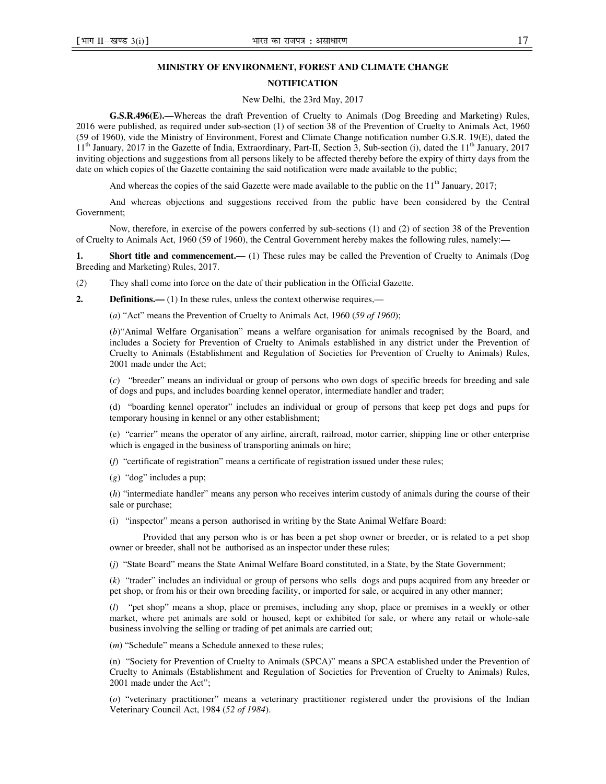### **MINISTRY OF ENVIRONMENT, FOREST AND CLIMATE CHANGE**

#### **NOTIFICATION**

New Delhi, the 23rd May, 2017

**G.S.R.496(E).—**Whereas the draft Prevention of Cruelty to Animals (Dog Breeding and Marketing) Rules, 2016 were published, as required under sub-section (1) of section 38 of the Prevention of Cruelty to Animals Act, 1960 (59 of 1960), vide the Ministry of Environment, Forest and Climate Change notification number G.S.R. 19(E), dated the  $11<sup>th</sup>$  January, 2017 in the Gazette of India, Extraordinary, Part-II, Section 3, Sub-section (i), dated the  $11<sup>th</sup>$  January, 2017 inviting objections and suggestions from all persons likely to be affected thereby before the expiry of thirty days from the date on which copies of the Gazette containing the said notification were made available to the public;

And whereas the copies of the said Gazette were made available to the public on the  $11<sup>th</sup>$  January, 2017;

And whereas objections and suggestions received from the public have been considered by the Central Government;

Now, therefore, in exercise of the powers conferred by sub-sections (1) and (2) of section 38 of the Prevention of Cruelty to Animals Act, 1960 (59 of 1960), the Central Government hereby makes the following rules, namely:**—**

**1.** Short title and commencement.— (1) These rules may be called the Prevention of Cruelty to Animals (Dog Breeding and Marketing) Rules, 2017.

(*2*) They shall come into force on the date of their publication in the Official Gazette.

**2. Definitions.**—(1) In these rules, unless the context otherwise requires,—

(*a*) "Act" means the Prevention of Cruelty to Animals Act, 1960 (*59 of 1960*);

(*b*)"Animal Welfare Organisation" means a welfare organisation for animals recognised by the Board, and includes a Society for Prevention of Cruelty to Animals established in any district under the Prevention of Cruelty to Animals (Establishment and Regulation of Societies for Prevention of Cruelty to Animals) Rules, 2001 made under the Act;

(*c*) "breeder" means an individual or group of persons who own dogs of specific breeds for breeding and sale of dogs and pups, and includes boarding kennel operator, intermediate handler and trader;

(d) "boarding kennel operator" includes an individual or group of persons that keep pet dogs and pups for temporary housing in kennel or any other establishment;

(e) "carrier" means the operator of any airline, aircraft, railroad, motor carrier, shipping line or other enterprise which is engaged in the business of transporting animals on hire;

(*f*) "certificate of registration" means a certificate of registration issued under these rules;

(*g*) "dog" includes a pup;

(*h*) "intermediate handler" means any person who receives interim custody of animals during the course of their sale or purchase;

(i) "inspector" means a person authorised in writing by the State Animal Welfare Board:

Provided that any person who is or has been a pet shop owner or breeder, or is related to a pet shop owner or breeder, shall not be authorised as an inspector under these rules;

(*j*) "State Board" means the State Animal Welfare Board constituted, in a State, by the State Government;

(*k*) "trader" includes an individual or group of persons who sells dogs and pups acquired from any breeder or pet shop, or from his or their own breeding facility, or imported for sale, or acquired in any other manner;

(*l*) "pet shop" means a shop, place or premises, including any shop, place or premises in a weekly or other market, where pet animals are sold or housed, kept or exhibited for sale, or where any retail or whole-sale business involving the selling or trading of pet animals are carried out;

(*m*) "Schedule" means a Schedule annexed to these rules;

(n) "Society for Prevention of Cruelty to Animals (SPCA)" means a SPCA established under the Prevention of Cruelty to Animals (Establishment and Regulation of Societies for Prevention of Cruelty to Animals) Rules, 2001 made under the Act";

(*o*) "veterinary practitioner" means a veterinary practitioner registered under the provisions of the Indian Veterinary Council Act, 1984 (*52 of 1984*).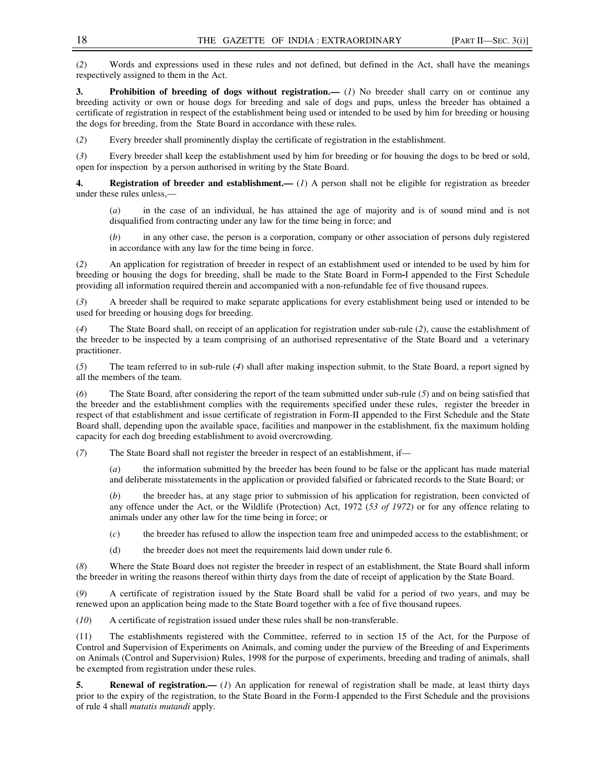(*2*) Words and expressions used in these rules and not defined, but defined in the Act, shall have the meanings respectively assigned to them in the Act.

**3.** Prohibition of breeding of dogs without registration.— (*1*) No breeder shall carry on or continue any breeding activity or own or house dogs for breeding and sale of dogs and pups, unless the breeder has obtained a certificate of registration in respect of the establishment being used or intended to be used by him for breeding or housing the dogs for breeding, from the State Board in accordance with these rules.

(*2*) Every breeder shall prominently display the certificate of registration in the establishment.

(*3*) Every breeder shall keep the establishment used by him for breeding or for housing the dogs to be bred or sold, open for inspection by a person authorised in writing by the State Board.

**4.** Registration of breeder and establishment.— (*1*) A person shall not be eligible for registration as breeder under these rules unless,—

(*a*) in the case of an individual, he has attained the age of majority and is of sound mind and is not disqualified from contracting under any law for the time being in force; and

(*b*) in any other case, the person is a corporation, company or other association of persons duly registered in accordance with any law for the time being in force.

(*2*) An application for registration of breeder in respect of an establishment used or intended to be used by him for breeding or housing the dogs for breeding, shall be made to the State Board in Form**-**I appended to the First Schedule providing all information required therein and accompanied with a non-refundable fee of five thousand rupees.

(*3*) A breeder shall be required to make separate applications for every establishment being used or intended to be used for breeding or housing dogs for breeding.

(*4*) The State Board shall, on receipt of an application for registration under sub-rule (*2*), cause the establishment of the breeder to be inspected by a team comprising of an authorised representative of the State Board and a veterinary practitioner.

(*5*) The team referred to in sub-rule (*4*) shall after making inspection submit, to the State Board, a report signed by all the members of the team.

(*6*) The State Board, after considering the report of the team submitted under sub-rule (*5*) and on being satisfied that the breeder and the establishment complies with the requirements specified under these rules, register the breeder in respect of that establishment and issue certificate of registration in Form-II appended to the First Schedule and the State Board shall, depending upon the available space, facilities and manpower in the establishment, fix the maximum holding capacity for each dog breeding establishment to avoid overcrowding.

(*7*) The State Board shall not register the breeder in respect of an establishment, if—

(*a*) the information submitted by the breeder has been found to be false or the applicant has made material and deliberate misstatements in the application or provided falsified or fabricated records to the State Board; or

(*b*) the breeder has, at any stage prior to submission of his application for registration, been convicted of any offence under the Act, or the Wildlife (Protection) Act, 1972 (*53 of 1972*) or for any offence relating to animals under any other law for the time being in force; or

(*c*) the breeder has refused to allow the inspection team free and unimpeded access to the establishment; or

(d) the breeder does not meet the requirements laid down under rule 6.

(*8*) Where the State Board does not register the breeder in respect of an establishment, the State Board shall inform the breeder in writing the reasons thereof within thirty days from the date of receipt of application by the State Board.

(*9*) A certificate of registration issued by the State Board shall be valid for a period of two years, and may be renewed upon an application being made to the State Board together with a fee of five thousand rupees.

(*10*) A certificate of registration issued under these rules shall be non-transferable.

(11) The establishments registered with the Committee, referred to in section 15 of the Act, for the Purpose of Control and Supervision of Experiments on Animals, and coming under the purview of the Breeding of and Experiments on Animals (Control and Supervision) Rules, 1998 for the purpose of experiments, breeding and trading of animals, shall be exempted from registration under these rules.

**5.** Renewal of registration.— (*1*) An application for renewal of registration shall be made, at least thirty days prior to the expiry of the registration, to the State Board in the Form-I appended to the First Schedule and the provisions of rule 4 shall *mutatis mutandi* apply.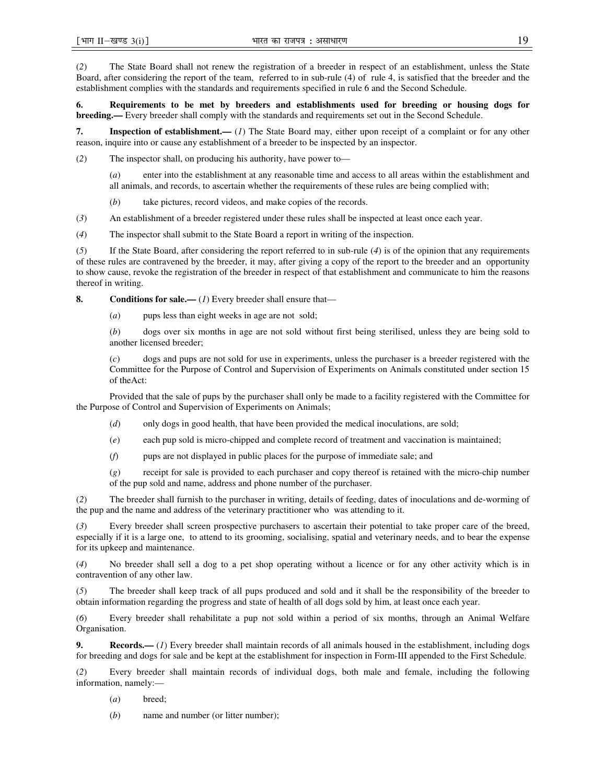(*2*) The State Board shall not renew the registration of a breeder in respect of an establishment, unless the State Board, after considering the report of the team, referred to in sub-rule (4) of rule 4, is satisfied that the breeder and the establishment complies with the standards and requirements specified in rule 6 and the Second Schedule.

**6. Requirements to be met by breeders and establishments used for breeding or housing dogs for breeding.—** Every breeder shall comply with the standards and requirements set out in the Second Schedule.

**7. Inspection of establishment.—** (*1*) The State Board may, either upon receipt of a complaint or for any other reason, inquire into or cause any establishment of a breeder to be inspected by an inspector.

(*2*) The inspector shall, on producing his authority, have power to—

(*a*) enter into the establishment at any reasonable time and access to all areas within the establishment and all animals, and records, to ascertain whether the requirements of these rules are being complied with;

(*b*) take pictures, record videos, and make copies of the records.

(*3*) An establishment of a breeder registered under these rules shall be inspected at least once each year.

(*4*) The inspector shall submit to the State Board a report in writing of the inspection.

(*5*) If the State Board, after considering the report referred to in sub-rule (*4*) is of the opinion that any requirements of these rules are contravened by the breeder, it may, after giving a copy of the report to the breeder and an opportunity to show cause, revoke the registration of the breeder in respect of that establishment and communicate to him the reasons thereof in writing.

**8.** Conditions for sale.— (1) Every breeder shall ensure that—

(*a*) pups less than eight weeks in age are not sold;

(*b*) dogs over six months in age are not sold without first being sterilised, unless they are being sold to another licensed breeder;

(*c*) dogs and pups are not sold for use in experiments, unless the purchaser is a breeder registered with the Committee for the Purpose of Control and Supervision of Experiments on Animals constituted under section 15 of theAct:

Provided that the sale of pups by the purchaser shall only be made to a facility registered with the Committee for the Purpose of Control and Supervision of Experiments on Animals;

- (*d*) only dogs in good health, that have been provided the medical inoculations, are sold;
- (*e*) each pup sold is micro-chipped and complete record of treatment and vaccination is maintained;
- (*f*) pups are not displayed in public places for the purpose of immediate sale; and

(*g*) receipt for sale is provided to each purchaser and copy thereof is retained with the micro-chip number of the pup sold and name, address and phone number of the purchaser.

(*2*) The breeder shall furnish to the purchaser in writing, details of feeding, dates of inoculations and de-worming of the pup and the name and address of the veterinary practitioner who was attending to it.

(*3*) Every breeder shall screen prospective purchasers to ascertain their potential to take proper care of the breed, especially if it is a large one, to attend to its grooming, socialising, spatial and veterinary needs, and to bear the expense for its upkeep and maintenance.

(*4*) No breeder shall sell a dog to a pet shop operating without a licence or for any other activity which is in contravention of any other law.

(*5*) The breeder shall keep track of all pups produced and sold and it shall be the responsibility of the breeder to obtain information regarding the progress and state of health of all dogs sold by him, at least once each year.

(*6*) Every breeder shall rehabilitate a pup not sold within a period of six months, through an Animal Welfare Organisation.

**9.** Records.— (*1*) Every breeder shall maintain records of all animals housed in the establishment, including dogs for breeding and dogs for sale and be kept at the establishment for inspection in Form-III appended to the First Schedule.

(*2*) Every breeder shall maintain records of individual dogs, both male and female, including the following information, namely:—

(*a*) breed;

(*b*) name and number (or litter number);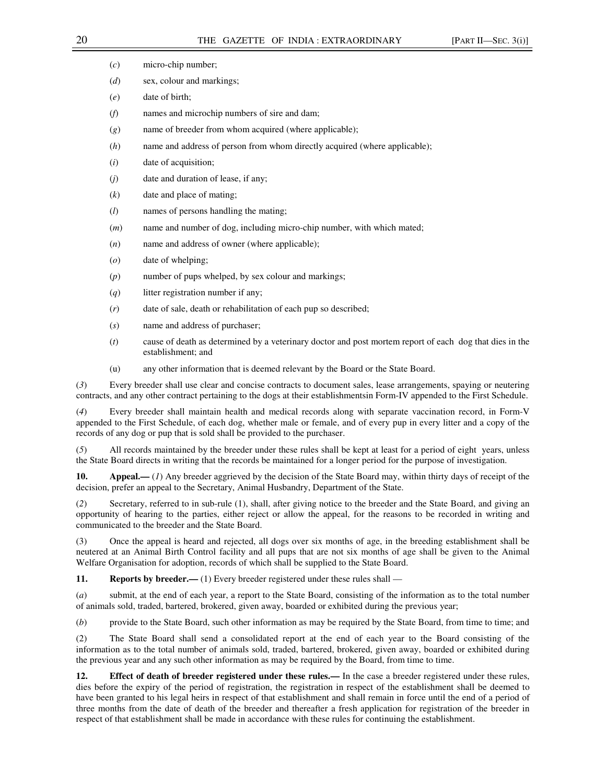| (c)<br>micro-chip number; |  |
|---------------------------|--|
|                           |  |

- (*d*) sex, colour and markings;
- (*e*) date of birth;
- (*f*) names and microchip numbers of sire and dam;
- (*g*) name of breeder from whom acquired (where applicable);
- (*h*) name and address of person from whom directly acquired (where applicable);
- (*i*) date of acquisition;
- (*j*) date and duration of lease, if any;
- (*k*) date and place of mating;
- (*l*) names of persons handling the mating;
- (*m*) name and number of dog, including micro-chip number, with which mated;
- (*n*) name and address of owner (where applicable);
- (*o*) date of whelping;
- (*p*) number of pups whelped, by sex colour and markings;
- (*q*) litter registration number if any;
- (*r*) date of sale, death or rehabilitation of each pup so described;
- (*s*) name and address of purchaser;
- (*t*) cause of death as determined by a veterinary doctor and post mortem report of each dog that dies in the establishment; and
- (u) any other information that is deemed relevant by the Board or the State Board.

(*3*) Every breeder shall use clear and concise contracts to document sales, lease arrangements, spaying or neutering contracts, and any other contract pertaining to the dogs at their establishmentsin Form-IV appended to the First Schedule.

Every breeder shall maintain health and medical records along with separate vaccination record, in Form-V appended to the First Schedule, of each dog, whether male or female, and of every pup in every litter and a copy of the records of any dog or pup that is sold shall be provided to the purchaser.

(*5*) All records maintained by the breeder under these rules shall be kept at least for a period of eight years, unless the State Board directs in writing that the records be maintained for a longer period for the purpose of investigation.

**10. Appeal.—** (*1*) Any breeder aggrieved by the decision of the State Board may, within thirty days of receipt of the decision, prefer an appeal to the Secretary, Animal Husbandry, Department of the State.

(*2*) Secretary, referred to in sub-rule (1), shall, after giving notice to the breeder and the State Board, and giving an opportunity of hearing to the parties, either reject or allow the appeal, for the reasons to be recorded in writing and communicated to the breeder and the State Board.

(3) Once the appeal is heard and rejected, all dogs over six months of age, in the breeding establishment shall be neutered at an Animal Birth Control facility and all pups that are not six months of age shall be given to the Animal Welfare Organisation for adoption, records of which shall be supplied to the State Board.

**11. Reports by breeder.**— (1) Every breeder registered under these rules shall —

(*a*) submit, at the end of each year, a report to the State Board, consisting of the information as to the total number of animals sold, traded, bartered, brokered, given away, boarded or exhibited during the previous year;

(*b*) provide to the State Board, such other information as may be required by the State Board, from time to time; and

(2) The State Board shall send a consolidated report at the end of each year to the Board consisting of the information as to the total number of animals sold, traded, bartered, brokered, given away, boarded or exhibited during the previous year and any such other information as may be required by the Board, from time to time.

**12. Effect of death of breeder registered under these rules.—** In the case a breeder registered under these rules, dies before the expiry of the period of registration, the registration in respect of the establishment shall be deemed to have been granted to his legal heirs in respect of that establishment and shall remain in force until the end of a period of three months from the date of death of the breeder and thereafter a fresh application for registration of the breeder in respect of that establishment shall be made in accordance with these rules for continuing the establishment.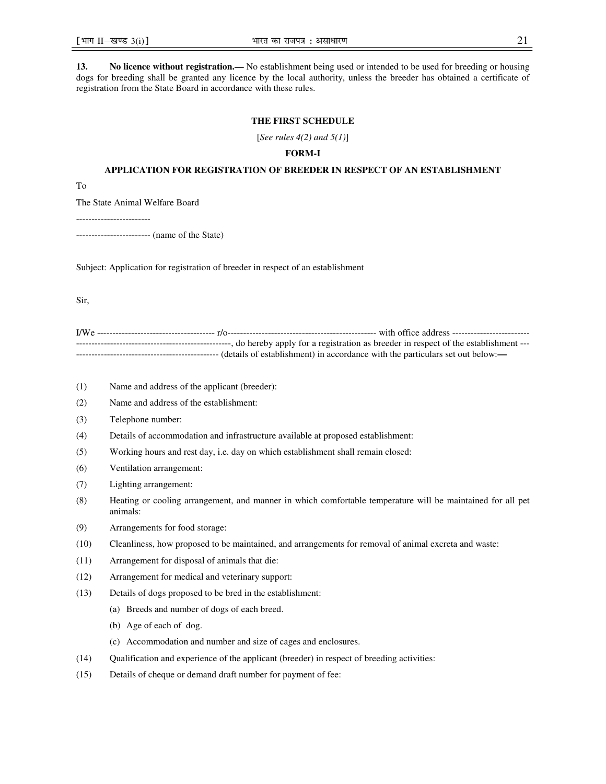**13. No licence without registration.—** No establishment being used or intended to be used for breeding or housing dogs for breeding shall be granted any licence by the local authority, unless the breeder has obtained a certificate of registration from the State Board in accordance with these rules.

### **THE FIRST SCHEDULE**

[*See rules 4(2) and 5(1)*]

### **FORM-I**

#### **APPLICATION FOR REGISTRATION OF BREEDER IN RESPECT OF AN ESTABLISHMENT**

To

The State Animal Welfare Board

------------------------

------------------------ (name of the State)

Subject: Application for registration of breeder in respect of an establishment

Sir,

| --------------------------------- |  | ----------------, do hereby apply for a registration as breeder in respect of the establishment --- |
|-----------------------------------|--|-----------------------------------------------------------------------------------------------------|
|                                   |  |                                                                                                     |

- (1) Name and address of the applicant (breeder):
- (2) Name and address of the establishment:
- (3) Telephone number:
- (4) Details of accommodation and infrastructure available at proposed establishment:
- (5) Working hours and rest day, i.e. day on which establishment shall remain closed:
- (6) Ventilation arrangement:
- (7) Lighting arrangement:
- (8) Heating or cooling arrangement, and manner in which comfortable temperature will be maintained for all pet animals:
- (9) Arrangements for food storage:
- (10) Cleanliness, how proposed to be maintained, and arrangements for removal of animal excreta and waste:
- (11) Arrangement for disposal of animals that die:
- (12) Arrangement for medical and veterinary support:
- (13) Details of dogs proposed to be bred in the establishment:
	- (a) Breeds and number of dogs of each breed.
	- (b) Age of each of dog.
	- (c) Accommodation and number and size of cages and enclosures.
- (14) Qualification and experience of the applicant (breeder) in respect of breeding activities:
- (15) Details of cheque or demand draft number for payment of fee: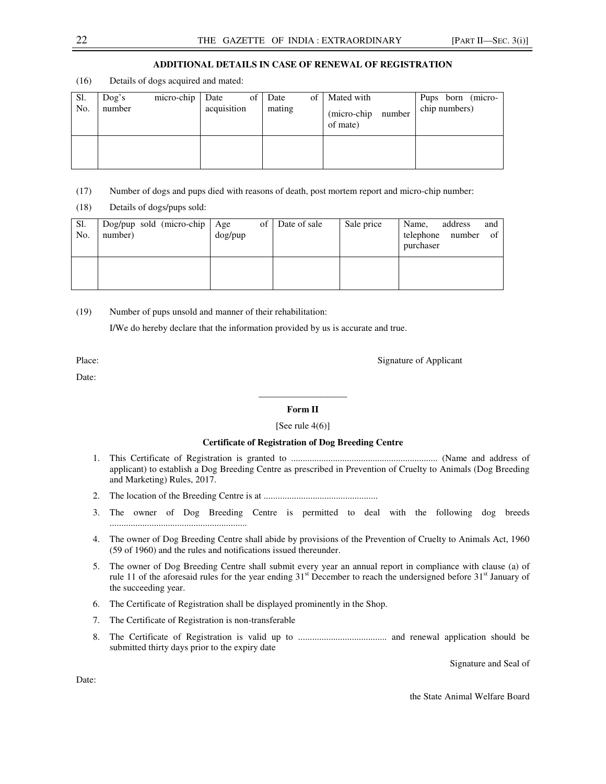### **ADDITIONAL DETAILS IN CASE OF RENEWAL OF REGISTRATION**

(16) Details of dogs acquired and mated:

| Sl.<br>No. | $\log$ 's<br>number | micro-chip | of 1<br>Date<br>acquisition | Date<br>mating | of | Mated with<br>(micro-chip)<br>number<br>of mate) | Pups born (micro-<br>chip numbers) |
|------------|---------------------|------------|-----------------------------|----------------|----|--------------------------------------------------|------------------------------------|
|            |                     |            |                             |                |    |                                                  |                                    |

- (17) Number of dogs and pups died with reasons of death, post mortem report and micro-chip number:
- (18) Details of dogs/pups sold:

| Sl.<br>No. | $\log/\text{pup}$ sold (micro-chip $\log/\text{Age}$<br>number) | dog/pup | of Date of sale | Sale price | Name,<br>telephone number<br>purchaser | address | and<br>- of |
|------------|-----------------------------------------------------------------|---------|-----------------|------------|----------------------------------------|---------|-------------|
|            |                                                                 |         |                 |            |                                        |         |             |

(19) Number of pups unsold and manner of their rehabilitation:

I/We do hereby declare that the information provided by us is accurate and true.

Date:

Place: Signature of Applicant

# **\_\_\_\_\_\_\_\_\_\_\_\_\_\_\_\_\_\_\_ Form II**

#### [See rule  $4(6)$ ]

#### **Certificate of Registration of Dog Breeding Centre**

- 1. This Certificate of Registration is granted to ............................................................... (Name and address of applicant) to establish a Dog Breeding Centre as prescribed in Prevention of Cruelty to Animals (Dog Breeding and Marketing) Rules, 2017.
- 2. The location of the Breeding Centre is at .................................................
- 3. The owner of Dog Breeding Centre is permitted to deal with the following dog breeds ...........................................................
- 4. The owner of Dog Breeding Centre shall abide by provisions of the Prevention of Cruelty to Animals Act, 1960 (59 of 1960) and the rules and notifications issued thereunder.
- 5. The owner of Dog Breeding Centre shall submit every year an annual report in compliance with clause (a) of rule 11 of the aforesaid rules for the year ending  $31<sup>st</sup>$  December to reach the undersigned before  $31<sup>st</sup>$  January of the succeeding year.
- 6. The Certificate of Registration shall be displayed prominently in the Shop.
- 7. The Certificate of Registration is non-transferable
- 8. The Certificate of Registration is valid up to ...................................... and renewal application should be submitted thirty days prior to the expiry date

Signature and Seal of

Date:

the State Animal Welfare Board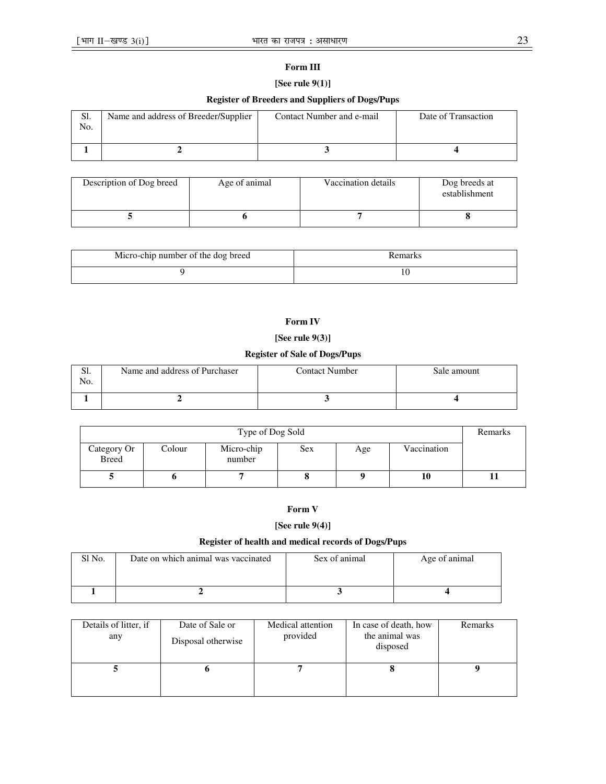### **Form III**

# **[See rule 9(1)]**

# **Register of Breeders and Suppliers of Dogs/Pups**

| S1.<br>No. | Name and address of Breeder/Supplier | Contact Number and e-mail | Date of Transaction |
|------------|--------------------------------------|---------------------------|---------------------|
|            |                                      |                           |                     |

| Description of Dog breed | Age of animal | Vaccination details | Dog breeds at<br>establishment |
|--------------------------|---------------|---------------------|--------------------------------|
|                          |               |                     |                                |

| Micro-chip number of the dog breed | Remarks |
|------------------------------------|---------|
|                                    | 10      |

# **Form IV**

# **[See rule 9(3)]**

# **Register of Sale of Dogs/Pups**

| ЭI.<br>No. | Name and address of Purchaser | Contact Number | Sale amount |
|------------|-------------------------------|----------------|-------------|
|            |                               |                |             |

| Type of Dog Sold            |        |                      |            |     | Remarks     |  |
|-----------------------------|--------|----------------------|------------|-----|-------------|--|
| Category Or<br><b>Breed</b> | Colour | Micro-chip<br>number | <b>Sex</b> | Age | Vaccination |  |
|                             |        |                      |            |     | 10          |  |

# **Form V**

# **[See rule 9(4)]**

# **Register of health and medical records of Dogs/Pups**

| Sl No. | Date on which animal was vaccinated | Sex of animal | Age of animal |
|--------|-------------------------------------|---------------|---------------|
|        |                                     |               |               |

| Details of litter, if<br>any | Date of Sale or<br>Disposal otherwise | Medical attention<br>provided | In case of death, how<br>the animal was<br>disposed | Remarks |
|------------------------------|---------------------------------------|-------------------------------|-----------------------------------------------------|---------|
|                              |                                       |                               |                                                     |         |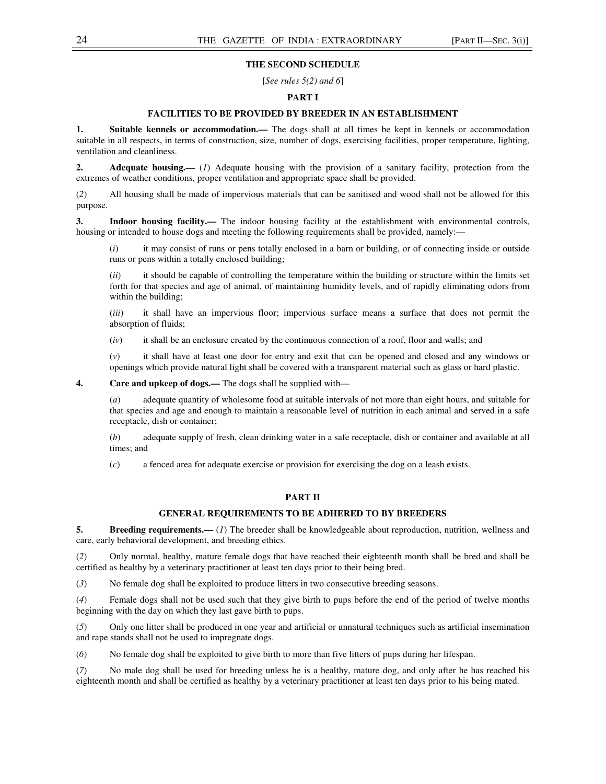### **THE SECOND SCHEDULE**

[*See rules 5(2) and 6*]

### **PART I**

### **FACILITIES TO BE PROVIDED BY BREEDER IN AN ESTABLISHMENT**

**1. Suitable kennels or accommodation.—** The dogs shall at all times be kept in kennels or accommodation suitable in all respects, in terms of construction, size, number of dogs, exercising facilities, proper temperature, lighting, ventilation and cleanliness.

**2.** Adequate housing.— (*1*) Adequate housing with the provision of a sanitary facility, protection from the extremes of weather conditions, proper ventilation and appropriate space shall be provided.

(*2*) All housing shall be made of impervious materials that can be sanitised and wood shall not be allowed for this purpose.

**3. Indoor housing facility.—** The indoor housing facility at the establishment with environmental controls, housing or intended to house dogs and meeting the following requirements shall be provided, namely:—

(*i*) it may consist of runs or pens totally enclosed in a barn or building, or of connecting inside or outside runs or pens within a totally enclosed building;

(*ii*) it should be capable of controlling the temperature within the building or structure within the limits set forth for that species and age of animal, of maintaining humidity levels, and of rapidly eliminating odors from within the building;

(*iii*) it shall have an impervious floor; impervious surface means a surface that does not permit the absorption of fluids;

(*iv*) it shall be an enclosure created by the continuous connection of a roof, floor and walls; and

(*v*) it shall have at least one door for entry and exit that can be opened and closed and any windows or openings which provide natural light shall be covered with a transparent material such as glass or hard plastic.

**4. Care and upkeep of dogs.—** The dogs shall be supplied with—

(*a*) adequate quantity of wholesome food at suitable intervals of not more than eight hours, and suitable for that species and age and enough to maintain a reasonable level of nutrition in each animal and served in a safe receptacle, dish or container;

(*b*) adequate supply of fresh, clean drinking water in a safe receptacle, dish or container and available at all times; and

(*c*) a fenced area for adequate exercise or provision for exercising the dog on a leash exists.

### **PART II**

### **GENERAL REQUIREMENTS TO BE ADHERED TO BY BREEDERS**

**5.** Breeding requirements.— (*1*) The breeder shall be knowledgeable about reproduction, nutrition, wellness and care, early behavioral development, and breeding ethics.

(*2*) Only normal, healthy, mature female dogs that have reached their eighteenth month shall be bred and shall be certified as healthy by a veterinary practitioner at least ten days prior to their being bred.

(*3*) No female dog shall be exploited to produce litters in two consecutive breeding seasons.

(*4*) Female dogs shall not be used such that they give birth to pups before the end of the period of twelve months beginning with the day on which they last gave birth to pups.

(*5*) Only one litter shall be produced in one year and artificial or unnatural techniques such as artificial insemination and rape stands shall not be used to impregnate dogs.

(*6*) No female dog shall be exploited to give birth to more than five litters of pups during her lifespan.

(*7*) No male dog shall be used for breeding unless he is a healthy, mature dog, and only after he has reached his eighteenth month and shall be certified as healthy by a veterinary practitioner at least ten days prior to his being mated.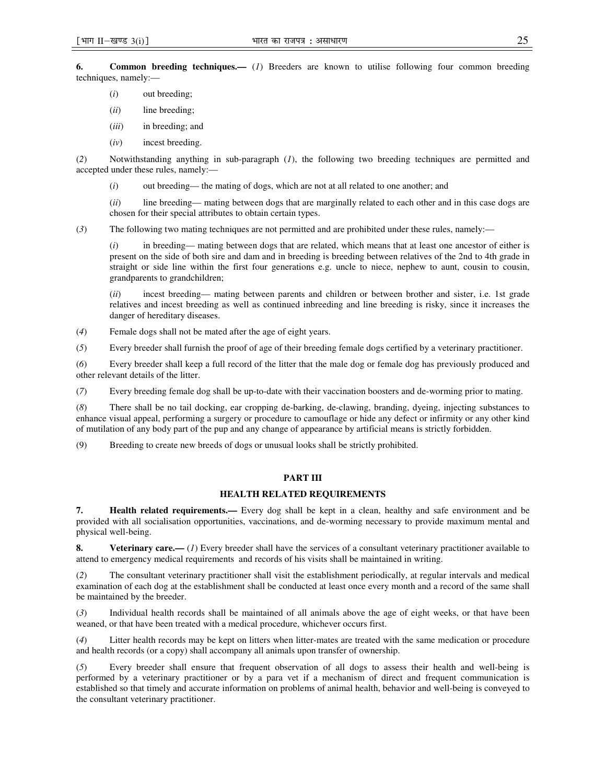**6. Common breeding techniques.—** (*1*) Breeders are known to utilise following four common breeding techniques, namely:—

- (*i*) out breeding;
- (*ii*) line breeding;
- (*iii*) in breeding; and
- (*iv*) incest breeding.

(*2*) Notwithstanding anything in sub-paragraph (*1*), the following two breeding techniques are permitted and accepted under these rules, namely:—

(*i*) out breeding— the mating of dogs, which are not at all related to one another; and

(*ii*) line breeding— mating between dogs that are marginally related to each other and in this case dogs are chosen for their special attributes to obtain certain types.

(*3*) The following two mating techniques are not permitted and are prohibited under these rules, namely:—

(*i*) in breeding— mating between dogs that are related, which means that at least one ancestor of either is present on the side of both sire and dam and in breeding is breeding between relatives of the 2nd to 4th grade in straight or side line within the first four generations e.g. uncle to niece, nephew to aunt, cousin to cousin, grandparents to grandchildren;

(*ii*) incest breeding— mating between parents and children or between brother and sister, i.e. 1st grade relatives and incest breeding as well as continued inbreeding and line breeding is risky, since it increases the danger of hereditary diseases.

(*4*) Female dogs shall not be mated after the age of eight years.

(*5*) Every breeder shall furnish the proof of age of their breeding female dogs certified by a veterinary practitioner.

(*6*) Every breeder shall keep a full record of the litter that the male dog or female dog has previously produced and other relevant details of the litter.

(*7*) Every breeding female dog shall be up-to-date with their vaccination boosters and de-worming prior to mating.

(*8*) There shall be no tail docking, ear cropping de-barking, de-clawing, branding, dyeing, injecting substances to enhance visual appeal, performing a surgery or procedure to camouflage or hide any defect or infirmity or any other kind of mutilation of any body part of the pup and any change of appearance by artificial means is strictly forbidden.

(9) Breeding to create new breeds of dogs or unusual looks shall be strictly prohibited.

#### **PART III**

### **HEALTH RELATED REQUIREMENTS**

**7. Health related requirements.—** Every dog shall be kept in a clean, healthy and safe environment and be provided with all socialisation opportunities, vaccinations, and de-worming necessary to provide maximum mental and physical well-being.

**8.** Veterinary care.— (1) Every breeder shall have the services of a consultant veterinary practitioner available to attend to emergency medical requirements and records of his visits shall be maintained in writing.

(*2*) The consultant veterinary practitioner shall visit the establishment periodically, at regular intervals and medical examination of each dog at the establishment shall be conducted at least once every month and a record of the same shall be maintained by the breeder.

(*3*) Individual health records shall be maintained of all animals above the age of eight weeks, or that have been weaned, or that have been treated with a medical procedure, whichever occurs first.

(*4*) Litter health records may be kept on litters when litter-mates are treated with the same medication or procedure and health records (or a copy) shall accompany all animals upon transfer of ownership.

(*5*) Every breeder shall ensure that frequent observation of all dogs to assess their health and well-being is performed by a veterinary practitioner or by a para vet if a mechanism of direct and frequent communication is established so that timely and accurate information on problems of animal health, behavior and well-being is conveyed to the consultant veterinary practitioner.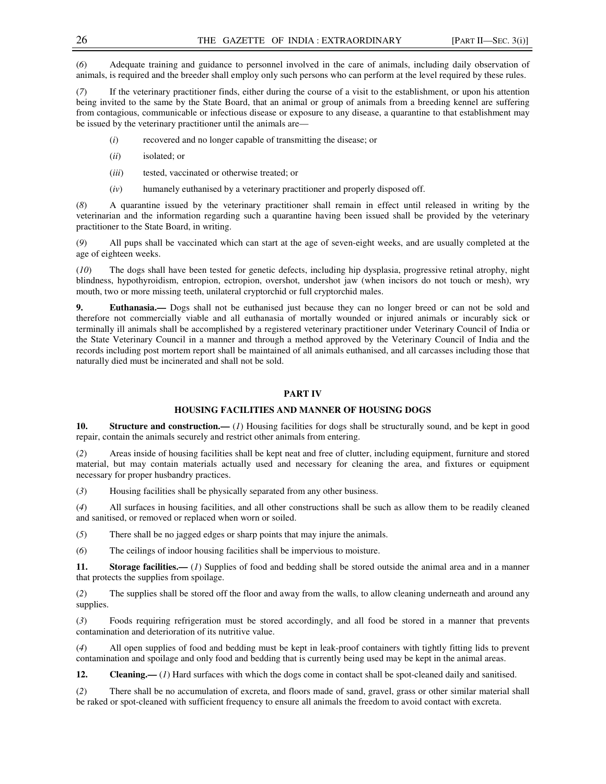(*6*) Adequate training and guidance to personnel involved in the care of animals, including daily observation of animals, is required and the breeder shall employ only such persons who can perform at the level required by these rules.

(*7*) If the veterinary practitioner finds, either during the course of a visit to the establishment, or upon his attention being invited to the same by the State Board, that an animal or group of animals from a breeding kennel are suffering from contagious, communicable or infectious disease or exposure to any disease, a quarantine to that establishment may be issued by the veterinary practitioner until the animals are—

- (*i*) recovered and no longer capable of transmitting the disease; or
- (*ii*) isolated; or
- (*iii*) tested, vaccinated or otherwise treated; or
- (*iv*) humanely euthanised by a veterinary practitioner and properly disposed off.

(*8*) A quarantine issued by the veterinary practitioner shall remain in effect until released in writing by the veterinarian and the information regarding such a quarantine having been issued shall be provided by the veterinary practitioner to the State Board, in writing.

(*9*) All pups shall be vaccinated which can start at the age of seven-eight weeks, and are usually completed at the age of eighteen weeks.

(*10*) The dogs shall have been tested for genetic defects, including hip dysplasia, progressive retinal atrophy, night blindness, hypothyroidism, entropion, ectropion, overshot, undershot jaw (when incisors do not touch or mesh), wry mouth, two or more missing teeth, unilateral cryptorchid or full cryptorchid males.

**9. Euthanasia.—** Dogs shall not be euthanised just because they can no longer breed or can not be sold and therefore not commercially viable and all euthanasia of mortally wounded or injured animals or incurably sick or terminally ill animals shall be accomplished by a registered veterinary practitioner under Veterinary Council of India or the State Veterinary Council in a manner and through a method approved by the Veterinary Council of India and the records including post mortem report shall be maintained of all animals euthanised, and all carcasses including those that naturally died must be incinerated and shall not be sold.

#### **PART IV**

#### **HOUSING FACILITIES AND MANNER OF HOUSING DOGS**

**10.** Structure and construction.— (*I*) Housing facilities for dogs shall be structurally sound, and be kept in good repair, contain the animals securely and restrict other animals from entering.

(*2*) Areas inside of housing facilities shall be kept neat and free of clutter, including equipment, furniture and stored material, but may contain materials actually used and necessary for cleaning the area, and fixtures or equipment necessary for proper husbandry practices.

(*3*) Housing facilities shall be physically separated from any other business.

(*4*) All surfaces in housing facilities, and all other constructions shall be such as allow them to be readily cleaned and sanitised, or removed or replaced when worn or soiled.

(*5*) There shall be no jagged edges or sharp points that may injure the animals.

(*6*) The ceilings of indoor housing facilities shall be impervious to moisture.

**11. Storage facilities.—** (*1*) Supplies of food and bedding shall be stored outside the animal area and in a manner that protects the supplies from spoilage.

(*2*) The supplies shall be stored off the floor and away from the walls, to allow cleaning underneath and around any supplies.

(*3*) Foods requiring refrigeration must be stored accordingly, and all food be stored in a manner that prevents contamination and deterioration of its nutritive value.

(*4*) All open supplies of food and bedding must be kept in leak-proof containers with tightly fitting lids to prevent contamination and spoilage and only food and bedding that is currently being used may be kept in the animal areas.

**12. Cleaning.**— (*1*) Hard surfaces with which the dogs come in contact shall be spot-cleaned daily and sanitised.

(*2*) There shall be no accumulation of excreta, and floors made of sand, gravel, grass or other similar material shall be raked or spot-cleaned with sufficient frequency to ensure all animals the freedom to avoid contact with excreta.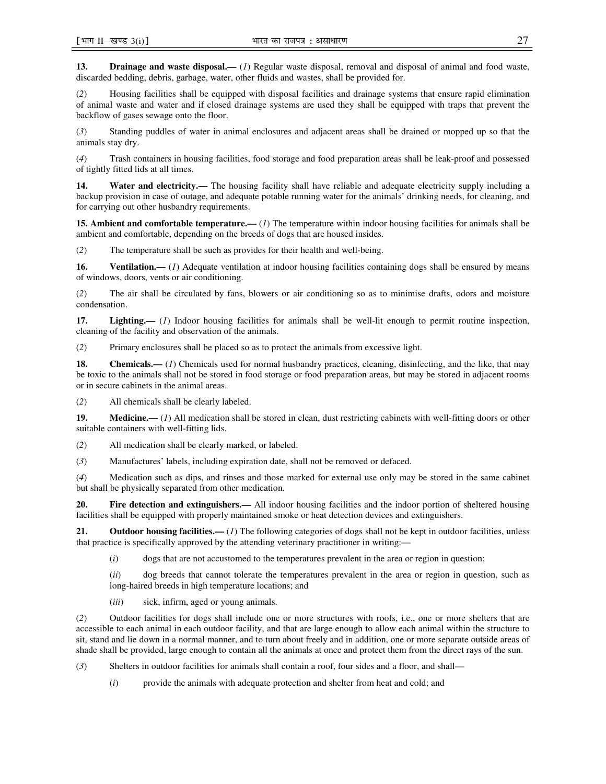**13. Drainage and waste disposal.—** (*1*) Regular waste disposal, removal and disposal of animal and food waste, discarded bedding, debris, garbage, water, other fluids and wastes, shall be provided for.

(*2*) Housing facilities shall be equipped with disposal facilities and drainage systems that ensure rapid elimination of animal waste and water and if closed drainage systems are used they shall be equipped with traps that prevent the backflow of gases sewage onto the floor.

(*3*) Standing puddles of water in animal enclosures and adjacent areas shall be drained or mopped up so that the animals stay dry.

(*4*) Trash containers in housing facilities, food storage and food preparation areas shall be leak-proof and possessed of tightly fitted lids at all times.

14. Water and electricity.— The housing facility shall have reliable and adequate electricity supply including a backup provision in case of outage, and adequate potable running water for the animals' drinking needs, for cleaning, and for carrying out other husbandry requirements.

**15. Ambient and comfortable temperature.**— (*1*) The temperature within indoor housing facilities for animals shall be ambient and comfortable, depending on the breeds of dogs that are housed insides.

(*2*) The temperature shall be such as provides for their health and well-being.

**16.** Ventilation.— (*1*) Adequate ventilation at indoor housing facilities containing dogs shall be ensured by means of windows, doors, vents or air conditioning.

(*2*) The air shall be circulated by fans, blowers or air conditioning so as to minimise drafts, odors and moisture condensation.

**17. Lighting.—** (*1*) Indoor housing facilities for animals shall be well-lit enough to permit routine inspection, cleaning of the facility and observation of the animals.

(*2*) Primary enclosures shall be placed so as to protect the animals from excessive light.

**18.** Chemicals.— (*1*) Chemicals used for normal husbandry practices, cleaning, disinfecting, and the like, that may be toxic to the animals shall not be stored in food storage or food preparation areas, but may be stored in adjacent rooms or in secure cabinets in the animal areas.

(*2*) All chemicals shall be clearly labeled.

**19. Medicine.—** (*1*) All medication shall be stored in clean, dust restricting cabinets with well-fitting doors or other suitable containers with well-fitting lids.

(*2*) All medication shall be clearly marked, or labeled.

(*3*) Manufactures' labels, including expiration date, shall not be removed or defaced.

(*4*) Medication such as dips, and rinses and those marked for external use only may be stored in the same cabinet but shall be physically separated from other medication.

**20. Fire detection and extinguishers.—** All indoor housing facilities and the indoor portion of sheltered housing facilities shall be equipped with properly maintained smoke or heat detection devices and extinguishers.

**21.** Outdoor housing facilities.—*(1)* The following categories of dogs shall not be kept in outdoor facilities, unless that practice is specifically approved by the attending veterinary practitioner in writing:—

(*i*) dogs that are not accustomed to the temperatures prevalent in the area or region in question;

(*ii*) dog breeds that cannot tolerate the temperatures prevalent in the area or region in question, such as long-haired breeds in high temperature locations; and

(*iii*) sick, infirm, aged or young animals.

(*2*) Outdoor facilities for dogs shall include one or more structures with roofs, i.e., one or more shelters that are accessible to each animal in each outdoor facility, and that are large enough to allow each animal within the structure to sit, stand and lie down in a normal manner, and to turn about freely and in addition, one or more separate outside areas of shade shall be provided, large enough to contain all the animals at once and protect them from the direct rays of the sun.

(*3*) Shelters in outdoor facilities for animals shall contain a roof, four sides and a floor, and shall—

(*i*) provide the animals with adequate protection and shelter from heat and cold; and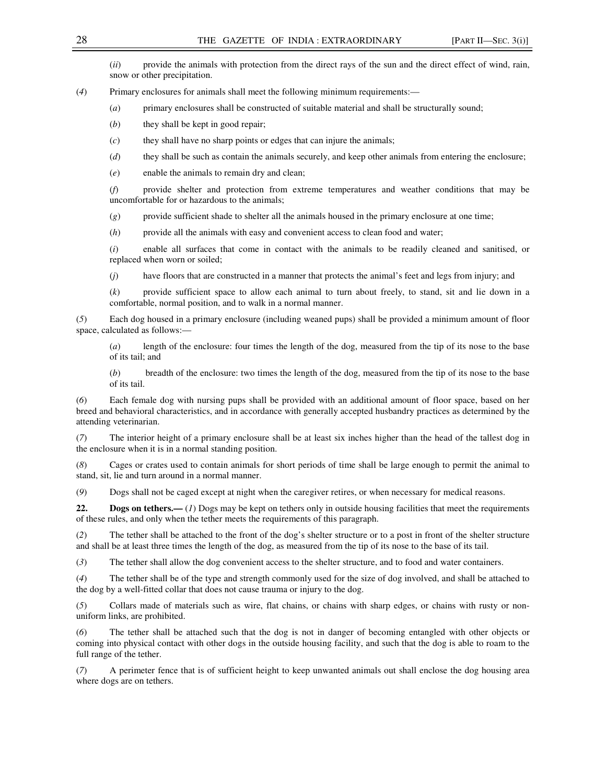(*ii*) provide the animals with protection from the direct rays of the sun and the direct effect of wind, rain, snow or other precipitation.

(*4*) Primary enclosures for animals shall meet the following minimum requirements:—

- (*a*) primary enclosures shall be constructed of suitable material and shall be structurally sound;
- (*b*) they shall be kept in good repair;
- (*c*) they shall have no sharp points or edges that can injure the animals;
- (*d*) they shall be such as contain the animals securely, and keep other animals from entering the enclosure;

(*e*) enable the animals to remain dry and clean;

(*f*) provide shelter and protection from extreme temperatures and weather conditions that may be uncomfortable for or hazardous to the animals;

(*g*) provide sufficient shade to shelter all the animals housed in the primary enclosure at one time;

(*h*) provide all the animals with easy and convenient access to clean food and water;

(*i*) enable all surfaces that come in contact with the animals to be readily cleaned and sanitised, or replaced when worn or soiled;

(*j*) have floors that are constructed in a manner that protects the animal's feet and legs from injury; and

(*k*) provide sufficient space to allow each animal to turn about freely, to stand, sit and lie down in a comfortable, normal position, and to walk in a normal manner.

(*5*) Each dog housed in a primary enclosure (including weaned pups) shall be provided a minimum amount of floor space, calculated as follows:—

(*a*) length of the enclosure: four times the length of the dog, measured from the tip of its nose to the base of its tail; and

(*b*) breadth of the enclosure: two times the length of the dog, measured from the tip of its nose to the base of its tail.

(*6*) Each female dog with nursing pups shall be provided with an additional amount of floor space, based on her breed and behavioral characteristics, and in accordance with generally accepted husbandry practices as determined by the attending veterinarian.

(*7*) The interior height of a primary enclosure shall be at least six inches higher than the head of the tallest dog in the enclosure when it is in a normal standing position.

(*8*) Cages or crates used to contain animals for short periods of time shall be large enough to permit the animal to stand, sit, lie and turn around in a normal manner.

(*9*) Dogs shall not be caged except at night when the caregiver retires, or when necessary for medical reasons.

**22. Dogs on tethers.**— (*1*) Dogs may be kept on tethers only in outside housing facilities that meet the requirements of these rules, and only when the tether meets the requirements of this paragraph.

(*2*) The tether shall be attached to the front of the dog's shelter structure or to a post in front of the shelter structure and shall be at least three times the length of the dog, as measured from the tip of its nose to the base of its tail.

(*3*) The tether shall allow the dog convenient access to the shelter structure, and to food and water containers.

(*4*) The tether shall be of the type and strength commonly used for the size of dog involved, and shall be attached to the dog by a well-fitted collar that does not cause trauma or injury to the dog.

(*5*) Collars made of materials such as wire, flat chains, or chains with sharp edges, or chains with rusty or nonuniform links, are prohibited.

(*6*) The tether shall be attached such that the dog is not in danger of becoming entangled with other objects or coming into physical contact with other dogs in the outside housing facility, and such that the dog is able to roam to the full range of the tether.

(*7*) A perimeter fence that is of sufficient height to keep unwanted animals out shall enclose the dog housing area where dogs are on tethers.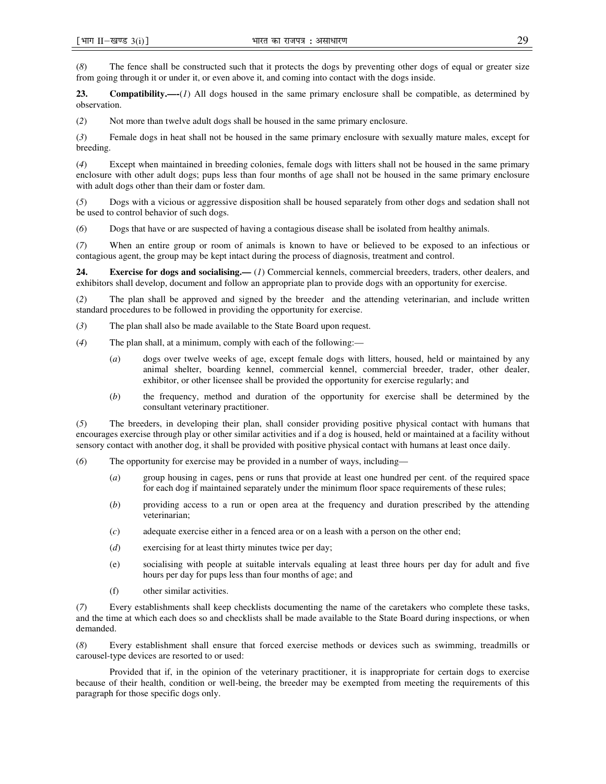(*8*) The fence shall be constructed such that it protects the dogs by preventing other dogs of equal or greater size from going through it or under it, or even above it, and coming into contact with the dogs inside.

**Compatibility.—-**(*I*) All dogs housed in the same primary enclosure shall be compatible, as determined by observation.

(*2*) Not more than twelve adult dogs shall be housed in the same primary enclosure.

(*3*) Female dogs in heat shall not be housed in the same primary enclosure with sexually mature males, except for breeding.

(*4*) Except when maintained in breeding colonies, female dogs with litters shall not be housed in the same primary enclosure with other adult dogs; pups less than four months of age shall not be housed in the same primary enclosure with adult dogs other than their dam or foster dam.

(*5*) Dogs with a vicious or aggressive disposition shall be housed separately from other dogs and sedation shall not be used to control behavior of such dogs.

(*6*) Dogs that have or are suspected of having a contagious disease shall be isolated from healthy animals.

(*7*) When an entire group or room of animals is known to have or believed to be exposed to an infectious or contagious agent, the group may be kept intact during the process of diagnosis, treatment and control.

**24.** Exercise for dogs and socialising.— (*1*) Commercial kennels, commercial breeders, traders, other dealers, and exhibitors shall develop, document and follow an appropriate plan to provide dogs with an opportunity for exercise.

(*2*) The plan shall be approved and signed by the breeder and the attending veterinarian, and include written standard procedures to be followed in providing the opportunity for exercise.

- (*3*) The plan shall also be made available to the State Board upon request.
- (*4*) The plan shall, at a minimum, comply with each of the following:—
	- (*a*) dogs over twelve weeks of age, except female dogs with litters, housed, held or maintained by any animal shelter, boarding kennel, commercial kennel, commercial breeder, trader, other dealer, exhibitor, or other licensee shall be provided the opportunity for exercise regularly; and
	- (*b*) the frequency, method and duration of the opportunity for exercise shall be determined by the consultant veterinary practitioner.

(*5*) The breeders, in developing their plan, shall consider providing positive physical contact with humans that encourages exercise through play or other similar activities and if a dog is housed, held or maintained at a facility without sensory contact with another dog, it shall be provided with positive physical contact with humans at least once daily.

- (*6*) The opportunity for exercise may be provided in a number of ways, including—
	- (*a*) group housing in cages, pens or runs that provide at least one hundred per cent. of the required space for each dog if maintained separately under the minimum floor space requirements of these rules;
	- (*b*) providing access to a run or open area at the frequency and duration prescribed by the attending veterinarian;
	- (*c*) adequate exercise either in a fenced area or on a leash with a person on the other end;
	- (*d*) exercising for at least thirty minutes twice per day;
	- (e) socialising with people at suitable intervals equaling at least three hours per day for adult and five hours per day for pups less than four months of age; and
	- (f) other similar activities.

(*7*) Every establishments shall keep checklists documenting the name of the caretakers who complete these tasks, and the time at which each does so and checklists shall be made available to the State Board during inspections, or when demanded.

(*8*) Every establishment shall ensure that forced exercise methods or devices such as swimming, treadmills or carousel-type devices are resorted to or used:

Provided that if, in the opinion of the veterinary practitioner, it is inappropriate for certain dogs to exercise because of their health, condition or well-being, the breeder may be exempted from meeting the requirements of this paragraph for those specific dogs only.